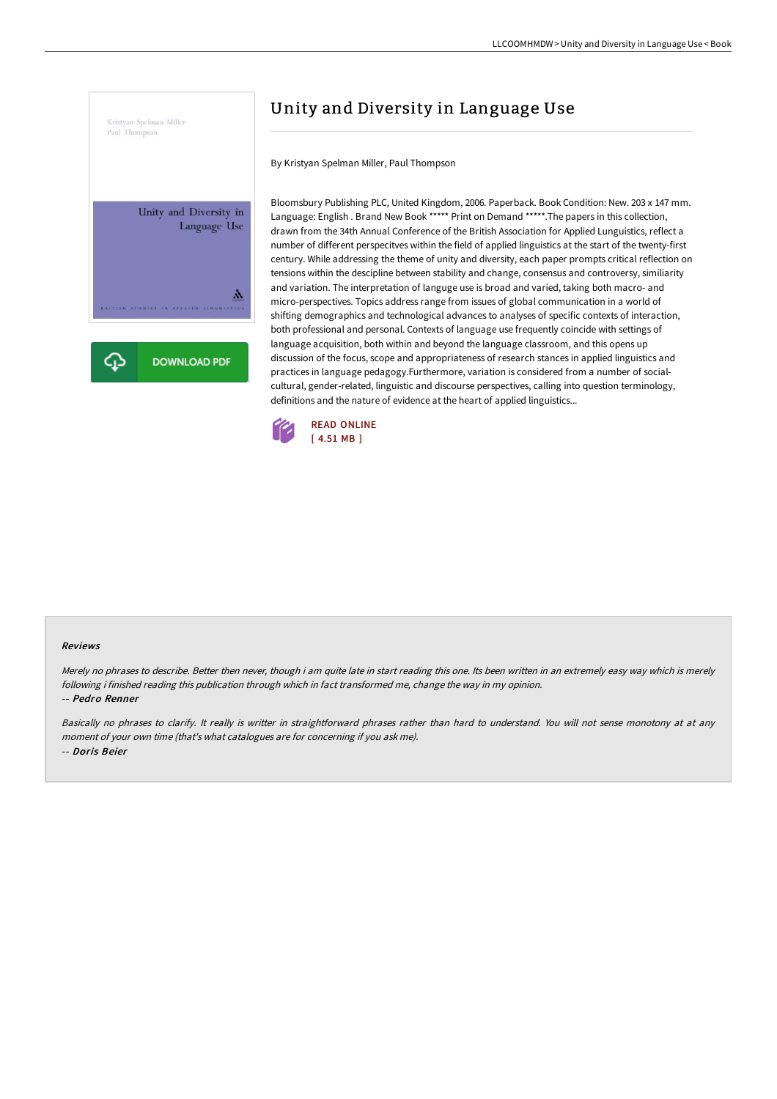

## Unity and Diversity in Language Use

By Kristyan Spelman Miller, Paul Thompson

Bloomsbury Publishing PLC, United Kingdom, 2006. Paperback. Book Condition: New. 203 x 147 mm. Language: English . Brand New Book \*\*\*\*\* Print on Demand \*\*\*\*\*.The papers in this collection, drawn from the 34th Annual Conference of the British Association for Applied Lunguistics, reflect a number of different perspecitves within the field of applied linguistics at the start of the twenty-first century. While addressing the theme of unity and diversity, each paper prompts critical reflection on tensions within the descipline between stability and change, consensus and controversy, similiarity and variation. The interpretation of languge use is broad and varied, taking both macro- and micro-perspectives. Topics address range from issues of global communication in a world of shifting demographics and technological advances to analyses of specific contexts of interaction, both professional and personal. Contexts of language use frequently coincide with settings of language acquisition, both within and beyond the language classroom, and this opens up discussion of the focus, scope and appropriateness of research stances in applied linguistics and practices in language pedagogy.Furthermore, variation is considered from a number of socialcultural, gender-related, linguistic and discourse perspectives, calling into question terminology, definitions and the nature of evidence at the heart of applied linguistics...



## Reviews

Merely no phrases to describe. Better then never, though i am quite late in start reading this one. Its been written in an extremely easy way which is merely following i finished reading this publication through which in fact transformed me, change the way in my opinion. -- Pedro Renner

Basically no phrases to clarify. It really is writter in straightforward phrases rather than hard to understand. You will not sense monotony at at any moment of your own time (that's what catalogues are for concerning if you ask me). -- Doris Beier